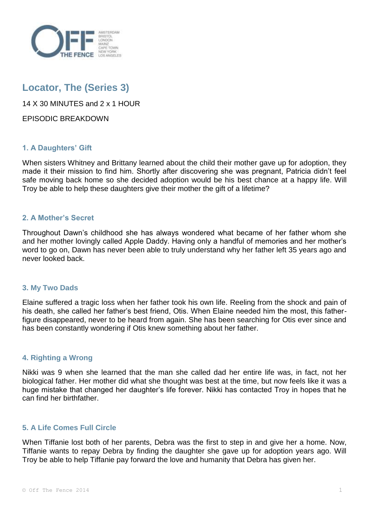

# **Locator, The (Series 3)**

14 X 30 MINUTES and 2 x 1 HOUR

EPISODIC BREAKDOWN

# **1. A Daughters' Gift**

When sisters Whitney and Brittany learned about the child their mother gave up for adoption, they made it their mission to find him. Shortly after discovering she was pregnant, Patricia didn't feel safe moving back home so she decided adoption would be his best chance at a happy life. Will Troy be able to help these daughters give their mother the gift of a lifetime?

# **2. A Mother's Secret**

Throughout Dawn's childhood she has always wondered what became of her father whom she and her mother lovingly called Apple Daddy. Having only a handful of memories and her mother's word to go on, Dawn has never been able to truly understand why her father left 35 years ago and never looked back.

# **3. My Two Dads**

Elaine suffered a tragic loss when her father took his own life. Reeling from the shock and pain of his death, she called her father's best friend, Otis. When Elaine needed him the most, this fatherfigure disappeared, never to be heard from again. She has been searching for Otis ever since and has been constantly wondering if Otis knew something about her father.

# **4. Righting a Wrong**

Nikki was 9 when she learned that the man she called dad her entire life was, in fact, not her biological father. Her mother did what she thought was best at the time, but now feels like it was a huge mistake that changed her daughter's life forever. Nikki has contacted Troy in hopes that he can find her birthfather.

# **5. A Life Comes Full Circle**

When Tiffanie lost both of her parents, Debra was the first to step in and give her a home. Now, Tiffanie wants to repay Debra by finding the daughter she gave up for adoption years ago. Will Troy be able to help Tiffanie pay forward the love and humanity that Debra has given her.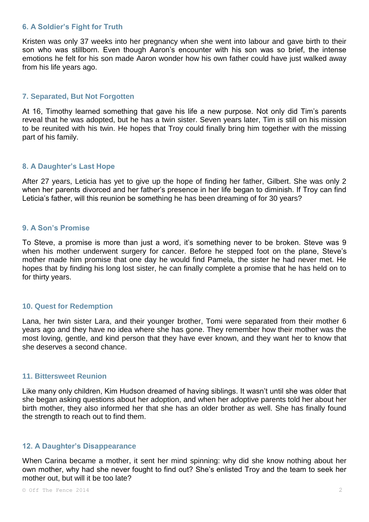# **6. A Soldier's Fight for Truth**

Kristen was only 37 weeks into her pregnancy when she went into labour and gave birth to their son who was stillborn. Even though Aaron's encounter with his son was so brief, the intense emotions he felt for his son made Aaron wonder how his own father could have just walked away from his life years ago.

## **7. Separated, But Not Forgotten**

At 16, Timothy learned something that gave his life a new purpose. Not only did Tim's parents reveal that he was adopted, but he has a twin sister. Seven years later, Tim is still on his mission to be reunited with his twin. He hopes that Troy could finally bring him together with the missing part of his family.

#### **8. A Daughter's Last Hope**

After 27 years, Leticia has yet to give up the hope of finding her father, Gilbert. She was only 2 when her parents divorced and her father's presence in her life began to diminish. If Troy can find Leticia's father, will this reunion be something he has been dreaming of for 30 years?

#### **9. A Son's Promise**

To Steve, a promise is more than just a word, it's something never to be broken. Steve was 9 when his mother underwent surgery for cancer. Before he stepped foot on the plane, Steve's mother made him promise that one day he would find Pamela, the sister he had never met. He hopes that by finding his long lost sister, he can finally complete a promise that he has held on to for thirty years.

# **10. Quest for Redemption**

Lana, her twin sister Lara, and their younger brother, Tomi were separated from their mother 6 years ago and they have no idea where she has gone. They remember how their mother was the most loving, gentle, and kind person that they have ever known, and they want her to know that she deserves a second chance.

## **11. Bittersweet Reunion**

Like many only children, Kim Hudson dreamed of having siblings. It wasn't until she was older that she began asking questions about her adoption, and when her adoptive parents told her about her birth mother, they also informed her that she has an older brother as well. She has finally found the strength to reach out to find them.

# **12. A Daughter's Disappearance**

When Carina became a mother, it sent her mind spinning: why did she know nothing about her own mother, why had she never fought to find out? She's enlisted Troy and the team to seek her mother out, but will it be too late?